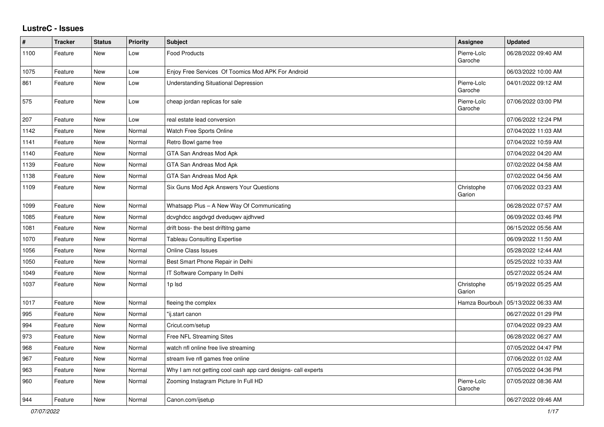## **LustreC - Issues**

| $\vert$ # | <b>Tracker</b> | <b>Status</b> | <b>Priority</b> | <b>Subject</b>                                                | Assignee               | <b>Updated</b>      |
|-----------|----------------|---------------|-----------------|---------------------------------------------------------------|------------------------|---------------------|
| 1100      | Feature        | New           | Low             | <b>Food Products</b>                                          | Pierre-Loïc<br>Garoche | 06/28/2022 09:40 AM |
| 1075      | Feature        | New           | Low             | Enjoy Free Services Of Toomics Mod APK For Android            |                        | 06/03/2022 10:00 AM |
| 861       | Feature        | New           | Low             | <b>Understanding Situational Depression</b>                   | Pierre-Loïc<br>Garoche | 04/01/2022 09:12 AM |
| 575       | Feature        | New           | Low             | cheap jordan replicas for sale                                | Pierre-Loïc<br>Garoche | 07/06/2022 03:00 PM |
| 207       | Feature        | New           | Low             | real estate lead conversion                                   |                        | 07/06/2022 12:24 PM |
| 1142      | Feature        | New           | Normal          | Watch Free Sports Online                                      |                        | 07/04/2022 11:03 AM |
| 1141      | Feature        | New           | Normal          | Retro Bowl game free                                          |                        | 07/04/2022 10:59 AM |
| 1140      | Feature        | New           | Normal          | GTA San Andreas Mod Apk                                       |                        | 07/04/2022 04:20 AM |
| 1139      | Feature        | <b>New</b>    | Normal          | GTA San Andreas Mod Apk                                       |                        | 07/02/2022 04:58 AM |
| 1138      | Feature        | New           | Normal          | GTA San Andreas Mod Apk                                       |                        | 07/02/2022 04:56 AM |
| 1109      | Feature        | New           | Normal          | Six Guns Mod Apk Answers Your Questions                       | Christophe<br>Garion   | 07/06/2022 03:23 AM |
| 1099      | Feature        | <b>New</b>    | Normal          | Whatsapp Plus - A New Way Of Communicating                    |                        | 06/28/2022 07:57 AM |
| 1085      | Feature        | New           | Normal          | dcvghdcc asgdvgd dveduqwv ajdhvwd                             |                        | 06/09/2022 03:46 PM |
| 1081      | Feature        | New           | Normal          | drift boss- the best driftitng game                           |                        | 06/15/2022 05:56 AM |
| 1070      | Feature        | New           | Normal          | <b>Tableau Consulting Expertise</b>                           |                        | 06/09/2022 11:50 AM |
| 1056      | Feature        | <b>New</b>    | Normal          | <b>Online Class Issues</b>                                    |                        | 05/28/2022 12:44 AM |
| 1050      | Feature        | New           | Normal          | Best Smart Phone Repair in Delhi                              |                        | 05/25/2022 10:33 AM |
| 1049      | Feature        | New           | Normal          | IT Software Company In Delhi                                  |                        | 05/27/2022 05:24 AM |
| 1037      | Feature        | New           | Normal          | 1p Isd                                                        | Christophe<br>Garion   | 05/19/2022 05:25 AM |
| 1017      | Feature        | <b>New</b>    | Normal          | fleeing the complex                                           | Hamza Bourbouh         | 05/13/2022 06:33 AM |
| 995       | Feature        | New           | Normal          | "ij.start canon                                               |                        | 06/27/2022 01:29 PM |
| 994       | Feature        | New           | Normal          | Cricut.com/setup                                              |                        | 07/04/2022 09:23 AM |
| 973       | Feature        | New           | Normal          | Free NFL Streaming Sites                                      |                        | 06/28/2022 06:27 AM |
| 968       | Feature        | New           | Normal          | watch nfl online free live streaming                          |                        | 07/05/2022 04:47 PM |
| 967       | Feature        | <b>New</b>    | Normal          | stream live nfl games free online                             |                        | 07/06/2022 01:02 AM |
| 963       | Feature        | <b>New</b>    | Normal          | Why I am not getting cool cash app card designs- call experts |                        | 07/05/2022 04:36 PM |
| 960       | Feature        | New           | Normal          | Zooming Instagram Picture In Full HD                          | Pierre-Loïc<br>Garoche | 07/05/2022 08:36 AM |
| 944       | Feature        | <b>New</b>    | Normal          | Canon.com/ijsetup                                             |                        | 06/27/2022 09:46 AM |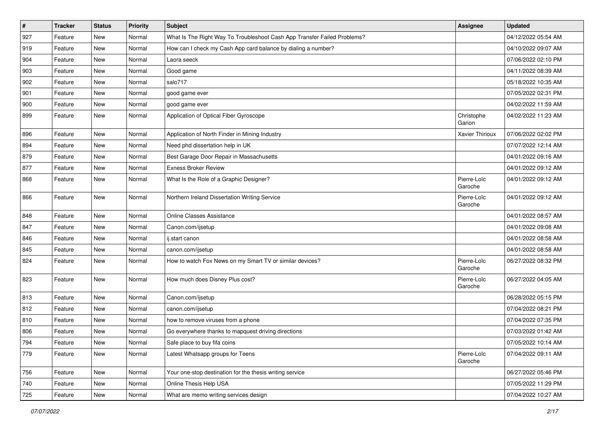| $\vert$ # | <b>Tracker</b> | <b>Status</b> | <b>Priority</b> | <b>Subject</b>                                                           | Assignee               | <b>Updated</b>      |
|-----------|----------------|---------------|-----------------|--------------------------------------------------------------------------|------------------------|---------------------|
| 927       | Feature        | <b>New</b>    | Normal          | What Is The Right Way To Troubleshoot Cash App Transfer Failed Problems? |                        | 04/12/2022 05:54 AM |
| 919       | Feature        | <b>New</b>    | Normal          | How can I check my Cash App card balance by dialing a number?            |                        | 04/10/2022 09:07 AM |
| 904       | Feature        | <b>New</b>    | Normal          | Laora seeck                                                              |                        | 07/06/2022 02:10 PM |
| 903       | Feature        | <b>New</b>    | Normal          | Good game                                                                |                        | 04/11/2022 08:39 AM |
| 902       | Feature        | <b>New</b>    | Normal          | salo717                                                                  |                        | 05/18/2022 10:35 AM |
| 901       | Feature        | New           | Normal          | good game ever                                                           |                        | 07/05/2022 02:31 PM |
| 900       | Feature        | <b>New</b>    | Normal          | good game ever                                                           |                        | 04/02/2022 11:59 AM |
| 899       | Feature        | <b>New</b>    | Normal          | Application of Optical Fiber Gyroscope                                   | Christophe<br>Garion   | 04/02/2022 11:23 AM |
| 896       | Feature        | New           | Normal          | Application of North Finder in Mining Industry                           | Xavier Thirioux        | 07/06/2022 02:02 PM |
| 894       | Feature        | <b>New</b>    | Normal          | Need phd dissertation help in UK                                         |                        | 07/07/2022 12:14 AM |
| 879       | Feature        | <b>New</b>    | Normal          | Best Garage Door Repair in Massachusetts                                 |                        | 04/01/2022 09:16 AM |
| 877       | Feature        | New           | Normal          | <b>Exness Broker Review</b>                                              |                        | 04/01/2022 09:12 AM |
| 868       | Feature        | <b>New</b>    | Normal          | What Is the Role of a Graphic Designer?                                  | Pierre-Loïc<br>Garoche | 04/01/2022 09:12 AM |
| 866       | Feature        | New           | Normal          | Northern Ireland Dissertation Writing Service                            | Pierre-Loïc<br>Garoche | 04/01/2022 09:12 AM |
| 848       | Feature        | <b>New</b>    | Normal          | Online Classes Assistance                                                |                        | 04/01/2022 08:57 AM |
| 847       | Feature        | New           | Normal          | Canon.com/ijsetup                                                        |                        | 04/01/2022 09:08 AM |
| 846       | Feature        | <b>New</b>    | Normal          | ij.start canon                                                           |                        | 04/01/2022 08:58 AM |
| 845       | Feature        | <b>New</b>    | Normal          | canon.com/ijsetup                                                        |                        | 04/01/2022 08:58 AM |
| 824       | Feature        | <b>New</b>    | Normal          | How to watch Fox News on my Smart TV or similar devices?                 | Pierre-Loïc<br>Garoche | 06/27/2022 08:32 PM |
| 823       | Feature        | New           | Normal          | How much does Disney Plus cost?                                          | Pierre-Loïc<br>Garoche | 06/27/2022 04:05 AM |
| 813       | Feature        | <b>New</b>    | Normal          | Canon.com/ijsetup                                                        |                        | 06/28/2022 05:15 PM |
| 812       | Feature        | <b>New</b>    | Normal          | canon.com/ijsetup                                                        |                        | 07/04/2022 08:21 PM |
| 810       | Feature        | <b>New</b>    | Normal          | how to remove viruses from a phone                                       |                        | 07/04/2022 07:35 PM |
| 806       | Feature        | <b>New</b>    | Normal          | Go everywhere thanks to mapquest driving directions                      |                        | 07/03/2022 01:42 AM |
| 794       | Feature        | New           | Normal          | Safe place to buy fifa coins                                             |                        | 07/05/2022 10:14 AM |
| 779       | Feature        | New           | Normal          | Latest Whatsapp groups for Teens                                         | Pierre-Loïc<br>Garoche | 07/04/2022 09:11 AM |
| 756       | Feature        | New           | Normal          | Your one-stop destination for the thesis writing service                 |                        | 06/27/2022 05:46 PM |
| 740       | Feature        | New           | Normal          | Online Thesis Help USA                                                   |                        | 07/05/2022 11:29 PM |
| 725       | Feature        | New           | Normal          | What are memo writing services design                                    |                        | 07/04/2022 10:27 AM |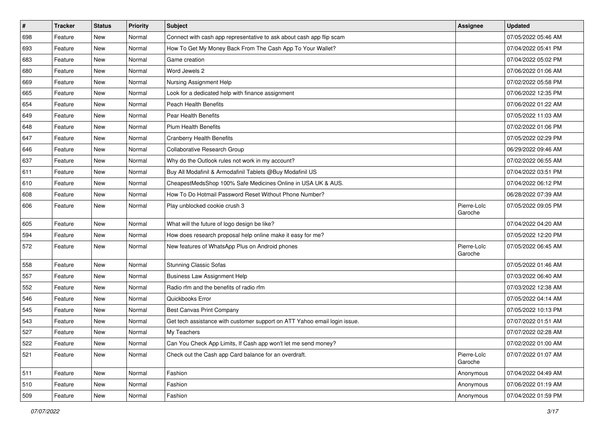| $\pmb{\#}$ | <b>Tracker</b> | <b>Status</b> | <b>Priority</b> | Subject                                                                   | <b>Assignee</b>        | <b>Updated</b>      |
|------------|----------------|---------------|-----------------|---------------------------------------------------------------------------|------------------------|---------------------|
| 698        | Feature        | New           | Normal          | Connect with cash app representative to ask about cash app flip scam      |                        | 07/05/2022 05:46 AM |
| 693        | Feature        | <b>New</b>    | Normal          | How To Get My Money Back From The Cash App To Your Wallet?                |                        | 07/04/2022 05:41 PM |
| 683        | Feature        | New           | Normal          | Game creation                                                             |                        | 07/04/2022 05:02 PM |
| 680        | Feature        | New           | Normal          | Word Jewels 2                                                             |                        | 07/06/2022 01:06 AM |
| 669        | Feature        | New           | Normal          | Nursing Assignment Help                                                   |                        | 07/02/2022 05:58 PM |
| 665        | Feature        | New           | Normal          | Look for a dedicated help with finance assignment                         |                        | 07/06/2022 12:35 PM |
| 654        | Feature        | New           | Normal          | Peach Health Benefits                                                     |                        | 07/06/2022 01:22 AM |
| 649        | Feature        | New           | Normal          | <b>Pear Health Benefits</b>                                               |                        | 07/05/2022 11:03 AM |
| 648        | Feature        | New           | Normal          | <b>Plum Health Benefits</b>                                               |                        | 07/02/2022 01:06 PM |
| 647        | Feature        | New           | Normal          | <b>Cranberry Health Benefits</b>                                          |                        | 07/05/2022 02:29 PM |
| 646        | Feature        | New           | Normal          | Collaborative Research Group                                              |                        | 06/29/2022 09:46 AM |
| 637        | Feature        | New           | Normal          | Why do the Outlook rules not work in my account?                          |                        | 07/02/2022 06:55 AM |
| 611        | Feature        | New           | Normal          | Buy All Modafinil & Armodafinil Tablets @Buy Modafinil US                 |                        | 07/04/2022 03:51 PM |
| 610        | Feature        | New           | Normal          | CheapestMedsShop 100% Safe Medicines Online in USA UK & AUS.              |                        | 07/04/2022 06:12 PM |
| 608        | Feature        | New           | Normal          | How To Do Hotmail Password Reset Without Phone Number?                    |                        | 06/28/2022 07:39 AM |
| 606        | Feature        | New           | Normal          | Play unblocked cookie crush 3                                             | Pierre-Loïc<br>Garoche | 07/05/2022 09:05 PM |
| 605        | Feature        | New           | Normal          | What will the future of logo design be like?                              |                        | 07/04/2022 04:20 AM |
| 594        | Feature        | New           | Normal          | How does research proposal help online make it easy for me?               |                        | 07/05/2022 12:20 PM |
| 572        | Feature        | New           | Normal          | New features of WhatsApp Plus on Android phones                           | Pierre-Loïc<br>Garoche | 07/05/2022 06:45 AM |
| 558        | Feature        | New           | Normal          | <b>Stunning Classic Sofas</b>                                             |                        | 07/05/2022 01:46 AM |
| 557        | Feature        | New           | Normal          | <b>Business Law Assignment Help</b>                                       |                        | 07/03/2022 06:40 AM |
| 552        | Feature        | New           | Normal          | Radio rfm and the benefits of radio rfm                                   |                        | 07/03/2022 12:38 AM |
| 546        | Feature        | New           | Normal          | Quickbooks Error                                                          |                        | 07/05/2022 04:14 AM |
| 545        | Feature        | New           | Normal          | Best Canvas Print Company                                                 |                        | 07/05/2022 10:13 PM |
| 543        | Feature        | New           | Normal          | Get tech assistance with customer support on ATT Yahoo email login issue. |                        | 07/07/2022 01:51 AM |
| 527        | Feature        | New           | Normal          | My Teachers                                                               |                        | 07/07/2022 02:28 AM |
| 522        | Feature        | New           | Normal          | Can You Check App Limits, If Cash app won't let me send money?            |                        | 07/02/2022 01:00 AM |
| 521        | Feature        | New           | Normal          | Check out the Cash app Card balance for an overdraft.                     | Pierre-Loïc<br>Garoche | 07/07/2022 01:07 AM |
| 511        | Feature        | New           | Normal          | Fashion                                                                   | Anonymous              | 07/04/2022 04:49 AM |
| 510        | Feature        | New           | Normal          | Fashion                                                                   | Anonymous              | 07/06/2022 01:19 AM |
| 509        | Feature        | New           | Normal          | Fashion                                                                   | Anonymous              | 07/04/2022 01:59 PM |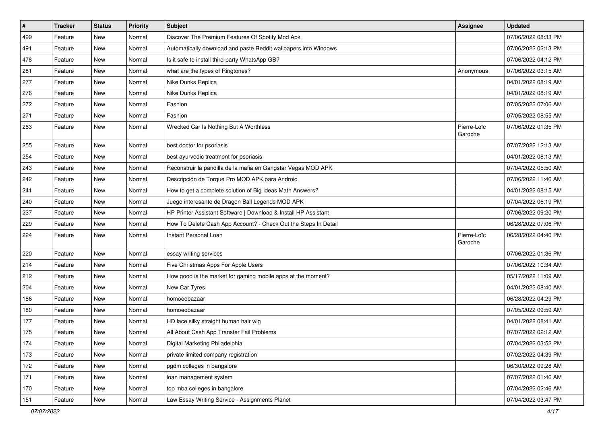| $\sharp$ | <b>Tracker</b> | <b>Status</b> | <b>Priority</b> | Subject                                                         | <b>Assignee</b>        | <b>Updated</b>      |
|----------|----------------|---------------|-----------------|-----------------------------------------------------------------|------------------------|---------------------|
| 499      | Feature        | New           | Normal          | Discover The Premium Features Of Spotify Mod Apk                |                        | 07/06/2022 08:33 PM |
| 491      | Feature        | <b>New</b>    | Normal          | Automatically download and paste Reddit wallpapers into Windows |                        | 07/06/2022 02:13 PM |
| 478      | Feature        | New           | Normal          | Is it safe to install third-party WhatsApp GB?                  |                        | 07/06/2022 04:12 PM |
| 281      | Feature        | New           | Normal          | what are the types of Ringtones?                                | Anonymous              | 07/06/2022 03:15 AM |
| 277      | Feature        | <b>New</b>    | Normal          | Nike Dunks Replica                                              |                        | 04/01/2022 08:19 AM |
| 276      | Feature        | New           | Normal          | Nike Dunks Replica                                              |                        | 04/01/2022 08:19 AM |
| 272      | Feature        | New           | Normal          | Fashion                                                         |                        | 07/05/2022 07:06 AM |
| 271      | Feature        | New           | Normal          | Fashion                                                         |                        | 07/05/2022 08:55 AM |
| 263      | Feature        | New           | Normal          | Wrecked Car Is Nothing But A Worthless                          | Pierre-Loïc<br>Garoche | 07/06/2022 01:35 PM |
| 255      | Feature        | New           | Normal          | best doctor for psoriasis                                       |                        | 07/07/2022 12:13 AM |
| 254      | Feature        | New           | Normal          | best ayurvedic treatment for psoriasis                          |                        | 04/01/2022 08:13 AM |
| 243      | Feature        | <b>New</b>    | Normal          | Reconstruir la pandilla de la mafia en Gangstar Vegas MOD APK   |                        | 07/04/2022 05:50 AM |
| 242      | Feature        | New           | Normal          | Descripción de Torque Pro MOD APK para Android                  |                        | 07/06/2022 11:46 AM |
| 241      | Feature        | New           | Normal          | How to get a complete solution of Big Ideas Math Answers?       |                        | 04/01/2022 08:15 AM |
| 240      | Feature        | New           | Normal          | Juego interesante de Dragon Ball Legends MOD APK                |                        | 07/04/2022 06:19 PM |
| 237      | Feature        | New           | Normal          | HP Printer Assistant Software   Download & Install HP Assistant |                        | 07/06/2022 09:20 PM |
| 229      | Feature        | <b>New</b>    | Normal          | How To Delete Cash App Account? - Check Out the Steps In Detail |                        | 06/28/2022 07:06 PM |
| 224      | Feature        | New           | Normal          | Instant Personal Loan                                           | Pierre-Loïc<br>Garoche | 06/28/2022 04:40 PM |
| 220      | Feature        | <b>New</b>    | Normal          | essay writing services                                          |                        | 07/06/2022 01:36 PM |
| 214      | Feature        | New           | Normal          | Five Christmas Apps For Apple Users                             |                        | 07/06/2022 10:34 AM |
| 212      | Feature        | New           | Normal          | How good is the market for gaming mobile apps at the moment?    |                        | 05/17/2022 11:09 AM |
| 204      | Feature        | New           | Normal          | New Car Tyres                                                   |                        | 04/01/2022 08:40 AM |
| 186      | Feature        | New           | Normal          | homoeobazaar                                                    |                        | 06/28/2022 04:29 PM |
| 180      | Feature        | New           | Normal          | homoeobazaar                                                    |                        | 07/05/2022 09:59 AM |
| 177      | Feature        | New           | Normal          | HD lace silky straight human hair wig                           |                        | 04/01/2022 08:41 AM |
| 175      | Feature        | New           | Normal          | All About Cash App Transfer Fail Problems                       |                        | 07/07/2022 02:12 AM |
| 174      | Feature        | New           | Normal          | Digital Marketing Philadelphia                                  |                        | 07/04/2022 03:52 PM |
| 173      | Feature        | New           | Normal          | private limited company registration                            |                        | 07/02/2022 04:39 PM |
| 172      | Feature        | New           | Normal          | pgdm colleges in bangalore                                      |                        | 06/30/2022 09:28 AM |
| 171      | Feature        | New           | Normal          | loan management system                                          |                        | 07/07/2022 01:46 AM |
| 170      | Feature        | New           | Normal          | top mba colleges in bangalore                                   |                        | 07/04/2022 02:46 AM |
| 151      | Feature        | New           | Normal          | Law Essay Writing Service - Assignments Planet                  |                        | 07/04/2022 03:47 PM |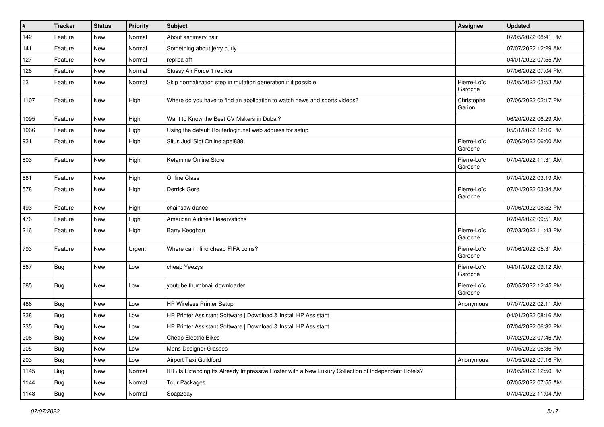| $\sharp$ | <b>Tracker</b> | <b>Status</b> | <b>Priority</b> | <b>Subject</b>                                                                                     | <b>Assignee</b>        | <b>Updated</b>      |
|----------|----------------|---------------|-----------------|----------------------------------------------------------------------------------------------------|------------------------|---------------------|
| 142      | Feature        | New           | Normal          | About ashimary hair                                                                                |                        | 07/05/2022 08:41 PM |
| 141      | Feature        | <b>New</b>    | Normal          | Something about jerry curly                                                                        |                        | 07/07/2022 12:29 AM |
| 127      | Feature        | New           | Normal          | replica af1                                                                                        |                        | 04/01/2022 07:55 AM |
| 126      | Feature        | New           | Normal          | Stussy Air Force 1 replica                                                                         |                        | 07/06/2022 07:04 PM |
| 63       | Feature        | New           | Normal          | Skip normalization step in mutation generation if it possible                                      | Pierre-Loïc<br>Garoche | 07/05/2022 03:53 AM |
| 1107     | Feature        | New           | High            | Where do you have to find an application to watch news and sports videos?                          | Christophe<br>Garion   | 07/06/2022 02:17 PM |
| 1095     | Feature        | <b>New</b>    | High            | Want to Know the Best CV Makers in Dubai?                                                          |                        | 06/20/2022 06:29 AM |
| 1066     | Feature        | New           | High            | Using the default Routerlogin.net web address for setup                                            |                        | 05/31/2022 12:16 PM |
| 931      | Feature        | New           | High            | Situs Judi Slot Online apel888                                                                     | Pierre-Loïc<br>Garoche | 07/06/2022 06:00 AM |
| 803      | Feature        | <b>New</b>    | High            | Ketamine Online Store                                                                              | Pierre-Loïc<br>Garoche | 07/04/2022 11:31 AM |
| 681      | Feature        | New           | High            | Online Class                                                                                       |                        | 07/04/2022 03:19 AM |
| 578      | Feature        | New           | High            | Derrick Gore                                                                                       | Pierre-Loïc<br>Garoche | 07/04/2022 03:34 AM |
| 493      | Feature        | <b>New</b>    | High            | chainsaw dance                                                                                     |                        | 07/06/2022 08:52 PM |
| 476      | Feature        | New           | High            | <b>American Airlines Reservations</b>                                                              |                        | 07/04/2022 09:51 AM |
| 216      | Feature        | New           | High            | Barry Keoghan                                                                                      | Pierre-Loïc<br>Garoche | 07/03/2022 11:43 PM |
| 793      | Feature        | <b>New</b>    | Urgent          | Where can I find cheap FIFA coins?                                                                 | Pierre-Loïc<br>Garoche | 07/06/2022 05:31 AM |
| 867      | Bug            | <b>New</b>    | Low             | cheap Yeezys                                                                                       | Pierre-Loïc<br>Garoche | 04/01/2022 09:12 AM |
| 685      | Bug            | New           | Low             | youtube thumbnail downloader                                                                       | Pierre-Loïc<br>Garoche | 07/05/2022 12:45 PM |
| 486      | Bug            | <b>New</b>    | Low             | <b>HP Wireless Printer Setup</b>                                                                   | Anonymous              | 07/07/2022 02:11 AM |
| 238      | Bug            | <b>New</b>    | Low             | HP Printer Assistant Software   Download & Install HP Assistant                                    |                        | 04/01/2022 08:16 AM |
| 235      | <b>Bug</b>     | New           | Low             | HP Printer Assistant Software   Download & Install HP Assistant                                    |                        | 07/04/2022 06:32 PM |
| 206      | <b>Bug</b>     | New           | Low             | <b>Cheap Electric Bikes</b>                                                                        |                        | 07/02/2022 07:46 AM |
| 205      | Bug            | <b>New</b>    | Low             | Mens Designer Glasses                                                                              |                        | 07/05/2022 06:36 PM |
| 203      | <b>Bug</b>     | New           | Low             | Airport Taxi Guildford                                                                             | Anonymous              | 07/05/2022 07:16 PM |
| 1145     | Bug            | New           | Normal          | IHG Is Extending Its Already Impressive Roster with a New Luxury Collection of Independent Hotels? |                        | 07/05/2022 12:50 PM |
| 1144     | <b>Bug</b>     | New           | Normal          | <b>Tour Packages</b>                                                                               |                        | 07/05/2022 07:55 AM |
| 1143     | <b>Bug</b>     | New           | Normal          | Soap2day                                                                                           |                        | 07/04/2022 11:04 AM |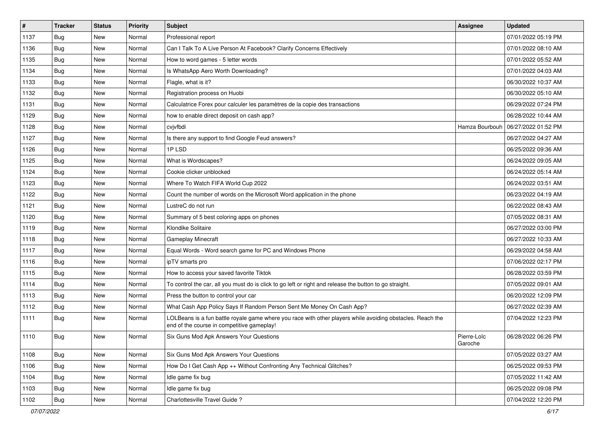| $\pmb{\#}$ | <b>Tracker</b> | <b>Status</b> | <b>Priority</b> | Subject                                                                                                                                                  | <b>Assignee</b>        | <b>Updated</b>      |
|------------|----------------|---------------|-----------------|----------------------------------------------------------------------------------------------------------------------------------------------------------|------------------------|---------------------|
| 1137       | Bug            | New           | Normal          | Professional report                                                                                                                                      |                        | 07/01/2022 05:19 PM |
| 1136       | Bug            | New           | Normal          | Can I Talk To A Live Person At Facebook? Clarify Concerns Effectively                                                                                    |                        | 07/01/2022 08:10 AM |
| 1135       | Bug            | New           | Normal          | How to word games - 5 letter words                                                                                                                       |                        | 07/01/2022 05:52 AM |
| 1134       | Bug            | <b>New</b>    | Normal          | Is WhatsApp Aero Worth Downloading?                                                                                                                      |                        | 07/01/2022 04:03 AM |
| 1133       | Bug            | <b>New</b>    | Normal          | Flagle, what is it?                                                                                                                                      |                        | 06/30/2022 10:37 AM |
| 1132       | Bug            | New           | Normal          | Registration process on Huobi                                                                                                                            |                        | 06/30/2022 05:10 AM |
| 1131       | Bug            | New           | Normal          | Calculatrice Forex pour calculer les paramètres de la copie des transactions                                                                             |                        | 06/29/2022 07:24 PM |
| 1129       | Bug            | New           | Normal          | how to enable direct deposit on cash app?                                                                                                                |                        | 06/28/2022 10:44 AM |
| 1128       | Bug            | New           | Normal          | cvjvfbdi                                                                                                                                                 | Hamza Bourbouh         | 06/27/2022 01:52 PM |
| 1127       | Bug            | New           | Normal          | Is there any support to find Google Feud answers?                                                                                                        |                        | 06/27/2022 04:27 AM |
| 1126       | <b>Bug</b>     | New           | Normal          | 1PLSD                                                                                                                                                    |                        | 06/25/2022 09:36 AM |
| 1125       | Bug            | New           | Normal          | What is Wordscapes?                                                                                                                                      |                        | 06/24/2022 09:05 AM |
| 1124       | Bug            | <b>New</b>    | Normal          | Cookie clicker unblocked                                                                                                                                 |                        | 06/24/2022 05:14 AM |
| 1123       | Bug            | New           | Normal          | Where To Watch FIFA World Cup 2022                                                                                                                       |                        | 06/24/2022 03:51 AM |
| 1122       | Bug            | <b>New</b>    | Normal          | Count the number of words on the Microsoft Word application in the phone                                                                                 |                        | 06/23/2022 04:19 AM |
| 1121       | Bug            | New           | Normal          | LustreC do not run                                                                                                                                       |                        | 06/22/2022 08:43 AM |
| 1120       | Bug            | New           | Normal          | Summary of 5 best coloring apps on phones                                                                                                                |                        | 07/05/2022 08:31 AM |
| 1119       | Bug            | <b>New</b>    | Normal          | Klondike Solitaire                                                                                                                                       |                        | 06/27/2022 03:00 PM |
| 1118       | <b>Bug</b>     | New           | Normal          | <b>Gameplay Minecraft</b>                                                                                                                                |                        | 06/27/2022 10:33 AM |
| 1117       | Bug            | New           | Normal          | Equal Words - Word search game for PC and Windows Phone                                                                                                  |                        | 06/29/2022 04:58 AM |
| 1116       | Bug            | New           | Normal          | ipTV smarts pro                                                                                                                                          |                        | 07/06/2022 02:17 PM |
| 1115       | Bug            | New           | Normal          | How to access your saved favorite Tiktok                                                                                                                 |                        | 06/28/2022 03:59 PM |
| 1114       | Bug            | New           | Normal          | To control the car, all you must do is click to go left or right and release the button to go straight.                                                  |                        | 07/05/2022 09:01 AM |
| 1113       | <b>Bug</b>     | New           | Normal          | Press the button to control your car                                                                                                                     |                        | 06/20/2022 12:09 PM |
| 1112       | Bug            | New           | Normal          | What Cash App Policy Says If Random Person Sent Me Money On Cash App?                                                                                    |                        | 06/27/2022 02:39 AM |
| 1111       | Bug            | New           | Normal          | LOLBeans is a fun battle royale game where you race with other players while avoiding obstacles. Reach the<br>end of the course in competitive gameplay! |                        | 07/04/2022 12:23 PM |
| 1110       | <b>Bug</b>     | New           | Normal          | Six Guns Mod Apk Answers Your Questions                                                                                                                  | Pierre-Loïc<br>Garoche | 06/28/2022 06:26 PM |
| 1108       | Bug            | <b>New</b>    | Normal          | Six Guns Mod Apk Answers Your Questions                                                                                                                  |                        | 07/05/2022 03:27 AM |
| 1106       | Bug            | <b>New</b>    | Normal          | How Do I Get Cash App ++ Without Confronting Any Technical Glitches?                                                                                     |                        | 06/25/2022 09:53 PM |
| 1104       | <b>Bug</b>     | New           | Normal          | Idle game fix bug                                                                                                                                        |                        | 07/05/2022 11:42 AM |
| 1103       | Bug            | New           | Normal          | Idle game fix bug                                                                                                                                        |                        | 06/25/2022 09:08 PM |
| 1102       | <b>Bug</b>     | New           | Normal          | Charlottesville Travel Guide?                                                                                                                            |                        | 07/04/2022 12:20 PM |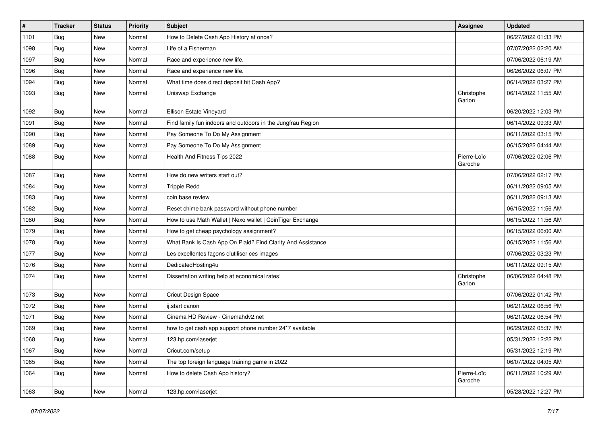| $\vert$ # | <b>Tracker</b> | <b>Status</b> | <b>Priority</b> | Subject                                                     | <b>Assignee</b>        | <b>Updated</b>      |
|-----------|----------------|---------------|-----------------|-------------------------------------------------------------|------------------------|---------------------|
| 1101      | <b>Bug</b>     | New           | Normal          | How to Delete Cash App History at once?                     |                        | 06/27/2022 01:33 PM |
| 1098      | <b>Bug</b>     | <b>New</b>    | Normal          | Life of a Fisherman                                         |                        | 07/07/2022 02:20 AM |
| 1097      | <b>Bug</b>     | New           | Normal          | Race and experience new life.                               |                        | 07/06/2022 06:19 AM |
| 1096      | <b>Bug</b>     | <b>New</b>    | Normal          | Race and experience new life.                               |                        | 06/26/2022 06:07 PM |
| 1094      | Bug            | <b>New</b>    | Normal          | What time does direct deposit hit Cash App?                 |                        | 06/14/2022 03:27 PM |
| 1093      | Bug            | <b>New</b>    | Normal          | Uniswap Exchange                                            | Christophe<br>Garion   | 06/14/2022 11:55 AM |
| 1092      | Bug            | New           | Normal          | Ellison Estate Vineyard                                     |                        | 06/20/2022 12:03 PM |
| 1091      | <b>Bug</b>     | <b>New</b>    | Normal          | Find family fun indoors and outdoors in the Jungfrau Region |                        | 06/14/2022 09:33 AM |
| 1090      | <b>Bug</b>     | <b>New</b>    | Normal          | Pay Someone To Do My Assignment                             |                        | 06/11/2022 03:15 PM |
| 1089      | Bug            | New           | Normal          | Pay Someone To Do My Assignment                             |                        | 06/15/2022 04:44 AM |
| 1088      | Bug            | New           | Normal          | Health And Fitness Tips 2022                                | Pierre-Loïc<br>Garoche | 07/06/2022 02:06 PM |
| 1087      | Bug            | <b>New</b>    | Normal          | How do new writers start out?                               |                        | 07/06/2022 02:17 PM |
| 1084      | Bug            | <b>New</b>    | Normal          | <b>Trippie Redd</b>                                         |                        | 06/11/2022 09:05 AM |
| 1083      | Bug            | New           | Normal          | coin base review                                            |                        | 06/11/2022 09:13 AM |
| 1082      | Bug            | <b>New</b>    | Normal          | Reset chime bank password without phone number              |                        | 06/15/2022 11:56 AM |
| 1080      | Bug            | <b>New</b>    | Normal          | How to use Math Wallet   Nexo wallet   CoinTiger Exchange   |                        | 06/15/2022 11:56 AM |
| 1079      | <b>Bug</b>     | <b>New</b>    | Normal          | How to get cheap psychology assignment?                     |                        | 06/15/2022 06:00 AM |
| 1078      | Bug            | <b>New</b>    | Normal          | What Bank Is Cash App On Plaid? Find Clarity And Assistance |                        | 06/15/2022 11:56 AM |
| 1077      | Bug            | New           | Normal          | Les excellentes façons d'utiliser ces images                |                        | 07/06/2022 03:23 PM |
| 1076      | Bug            | <b>New</b>    | Normal          | DedicatedHosting4u                                          |                        | 06/11/2022 09:15 AM |
| 1074      | Bug            | <b>New</b>    | Normal          | Dissertation writing help at economical rates!              | Christophe<br>Garion   | 06/06/2022 04:48 PM |
| 1073      | Bug            | <b>New</b>    | Normal          | Cricut Design Space                                         |                        | 07/06/2022 01:42 PM |
| 1072      | <b>Bug</b>     | <b>New</b>    | Normal          | ij.start canon                                              |                        | 06/21/2022 06:56 PM |
| 1071      | Bug            | New           | Normal          | Cinema HD Review - Cinemahdy2.net                           |                        | 06/21/2022 06:54 PM |
| 1069      | Bug            | <b>New</b>    | Normal          | how to get cash app support phone number 24*7 available     |                        | 06/29/2022 05:37 PM |
| 1068      | Bug            | New           | Normal          | 123.hp.com/laserjet                                         |                        | 05/31/2022 12:22 PM |
| 1067      | Bug            | New           | Normal          | Cricut.com/setup                                            |                        | 05/31/2022 12:19 PM |
| 1065      | <b>Bug</b>     | New           | Normal          | The top foreign language training game in 2022              |                        | 06/07/2022 04:05 AM |
| 1064      | <b>Bug</b>     | New           | Normal          | How to delete Cash App history?                             | Pierre-Loïc<br>Garoche | 06/11/2022 10:29 AM |
| 1063      | Bug            | New           | Normal          | 123.hp.com/laserjet                                         |                        | 05/28/2022 12:27 PM |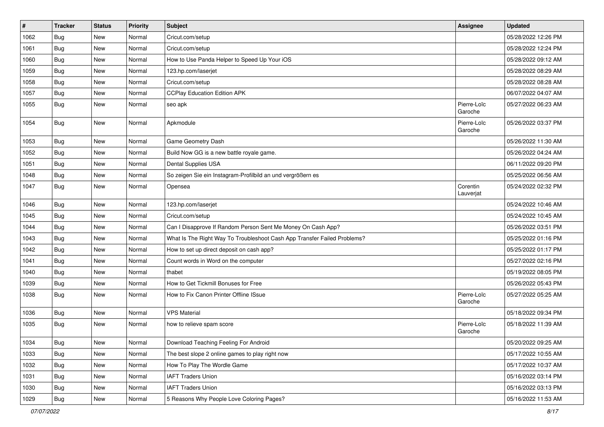| $\pmb{\#}$ | <b>Tracker</b> | <b>Status</b> | <b>Priority</b> | <b>Subject</b>                                                           | <b>Assignee</b>        | <b>Updated</b>      |
|------------|----------------|---------------|-----------------|--------------------------------------------------------------------------|------------------------|---------------------|
| 1062       | <b>Bug</b>     | New           | Normal          | Cricut.com/setup                                                         |                        | 05/28/2022 12:26 PM |
| 1061       | Bug            | <b>New</b>    | Normal          | Cricut.com/setup                                                         |                        | 05/28/2022 12:24 PM |
| 1060       | Bug            | New           | Normal          | How to Use Panda Helper to Speed Up Your iOS                             |                        | 05/28/2022 09:12 AM |
| 1059       | Bug            | New           | Normal          | 123.hp.com/laserjet                                                      |                        | 05/28/2022 08:29 AM |
| 1058       | <b>Bug</b>     | <b>New</b>    | Normal          | Cricut.com/setup                                                         |                        | 05/28/2022 08:28 AM |
| 1057       | Bug            | New           | Normal          | <b>CCPlay Education Edition APK</b>                                      |                        | 06/07/2022 04:07 AM |
| 1055       | Bug            | New           | Normal          | seo apk                                                                  | Pierre-Loïc<br>Garoche | 05/27/2022 06:23 AM |
| 1054       | Bug            | New           | Normal          | Apkmodule                                                                | Pierre-Loïc<br>Garoche | 05/26/2022 03:37 PM |
| 1053       | Bug            | New           | Normal          | Game Geometry Dash                                                       |                        | 05/26/2022 11:30 AM |
| 1052       | Bug            | New           | Normal          | Build Now GG is a new battle royale game.                                |                        | 05/26/2022 04:24 AM |
| 1051       | Bug            | <b>New</b>    | Normal          | Dental Supplies USA                                                      |                        | 06/11/2022 09:20 PM |
| 1048       | Bug            | New           | Normal          | So zeigen Sie ein Instagram-Profilbild an und vergrößern es              |                        | 05/25/2022 06:56 AM |
| 1047       | Bug            | New           | Normal          | Opensea                                                                  | Corentin<br>Lauverjat  | 05/24/2022 02:32 PM |
| 1046       | Bug            | <b>New</b>    | Normal          | 123.hp.com/laserjet                                                      |                        | 05/24/2022 10:46 AM |
| 1045       | Bug            | New           | Normal          | Cricut.com/setup                                                         |                        | 05/24/2022 10:45 AM |
| 1044       | Bug            | New           | Normal          | Can I Disapprove If Random Person Sent Me Money On Cash App?             |                        | 05/26/2022 03:51 PM |
| 1043       | Bug            | <b>New</b>    | Normal          | What Is The Right Way To Troubleshoot Cash App Transfer Failed Problems? |                        | 05/25/2022 01:16 PM |
| 1042       | Bug            | <b>New</b>    | Normal          | How to set up direct deposit on cash app?                                |                        | 05/25/2022 01:17 PM |
| 1041       | Bug            | New           | Normal          | Count words in Word on the computer                                      |                        | 05/27/2022 02:16 PM |
| 1040       | Bug            | New           | Normal          | thabet                                                                   |                        | 05/19/2022 08:05 PM |
| 1039       | Bug            | New           | Normal          | How to Get Tickmill Bonuses for Free                                     |                        | 05/26/2022 05:43 PM |
| 1038       | Bug            | New           | Normal          | How to Fix Canon Printer Offline ISsue                                   | Pierre-Loïc<br>Garoche | 05/27/2022 05:25 AM |
| 1036       | Bug            | <b>New</b>    | Normal          | <b>VPS Material</b>                                                      |                        | 05/18/2022 09:34 PM |
| 1035       | Bug            | New           | Normal          | how to relieve spam score                                                | Pierre-Loïc<br>Garoche | 05/18/2022 11:39 AM |
| 1034       | Bug            | New           | Normal          | Download Teaching Feeling For Android                                    |                        | 05/20/2022 09:25 AM |
| 1033       | Bug            | New           | Normal          | The best slope 2 online games to play right now                          |                        | 05/17/2022 10:55 AM |
| 1032       | Bug            | New           | Normal          | How To Play The Wordle Game                                              |                        | 05/17/2022 10:37 AM |
| 1031       | Bug            | New           | Normal          | <b>IAFT Traders Union</b>                                                |                        | 05/16/2022 03:14 PM |
| 1030       | <b>Bug</b>     | New           | Normal          | <b>IAFT Traders Union</b>                                                |                        | 05/16/2022 03:13 PM |
| 1029       | Bug            | New           | Normal          | 5 Reasons Why People Love Coloring Pages?                                |                        | 05/16/2022 11:53 AM |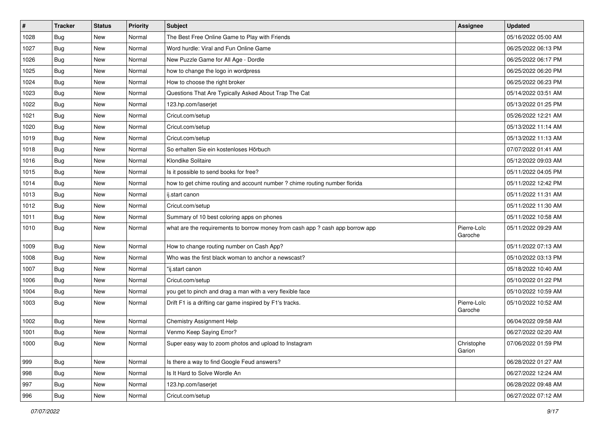| $\#$ | <b>Tracker</b> | <b>Status</b> | <b>Priority</b> | Subject                                                                       | Assignee               | <b>Updated</b>      |
|------|----------------|---------------|-----------------|-------------------------------------------------------------------------------|------------------------|---------------------|
| 1028 | <b>Bug</b>     | New           | Normal          | The Best Free Online Game to Play with Friends                                |                        | 05/16/2022 05:00 AM |
| 1027 | Bug            | <b>New</b>    | Normal          | Word hurdle: Viral and Fun Online Game                                        |                        | 06/25/2022 06:13 PM |
| 1026 | <b>Bug</b>     | New           | Normal          | New Puzzle Game for All Age - Dordle                                          |                        | 06/25/2022 06:17 PM |
| 1025 | Bug            | New           | Normal          | how to change the logo in wordpress                                           |                        | 06/25/2022 06:20 PM |
| 1024 | Bug            | <b>New</b>    | Normal          | How to choose the right broker                                                |                        | 06/25/2022 06:23 PM |
| 1023 | <b>Bug</b>     | New           | Normal          | Questions That Are Typically Asked About Trap The Cat                         |                        | 05/14/2022 03:51 AM |
| 1022 | Bug            | New           | Normal          | 123.hp.com/laserjet                                                           |                        | 05/13/2022 01:25 PM |
| 1021 | Bug            | New           | Normal          | Cricut.com/setup                                                              |                        | 05/26/2022 12:21 AM |
| 1020 | Bug            | New           | Normal          | Cricut.com/setup                                                              |                        | 05/13/2022 11:14 AM |
| 1019 | Bug            | <b>New</b>    | Normal          | Cricut.com/setup                                                              |                        | 05/13/2022 11:13 AM |
| 1018 | Bug            | New           | Normal          | So erhalten Sie ein kostenloses Hörbuch                                       |                        | 07/07/2022 01:41 AM |
| 1016 | Bug            | New           | Normal          | Klondike Solitaire                                                            |                        | 05/12/2022 09:03 AM |
| 1015 | Bug            | New           | Normal          | Is it possible to send books for free?                                        |                        | 05/11/2022 04:05 PM |
| 1014 | Bug            | New           | Normal          | how to get chime routing and account number ? chime routing number florida    |                        | 05/11/2022 12:42 PM |
| 1013 | Bug            | <b>New</b>    | Normal          | ij.start canon                                                                |                        | 05/11/2022 11:31 AM |
| 1012 | Bug            | New           | Normal          | Cricut.com/setup                                                              |                        | 05/11/2022 11:30 AM |
| 1011 | Bug            | New           | Normal          | Summary of 10 best coloring apps on phones                                    |                        | 05/11/2022 10:58 AM |
| 1010 | Bug            | New           | Normal          | what are the requirements to borrow money from cash app ? cash app borrow app | Pierre-Loïc<br>Garoche | 05/11/2022 09:29 AM |
| 1009 | Bug            | <b>New</b>    | Normal          | How to change routing number on Cash App?                                     |                        | 05/11/2022 07:13 AM |
| 1008 | Bug            | New           | Normal          | Who was the first black woman to anchor a newscast?                           |                        | 05/10/2022 03:13 PM |
| 1007 | Bug            | New           | Normal          | "ij.start canon                                                               |                        | 05/18/2022 10:40 AM |
| 1006 | Bug            | New           | Normal          | Cricut.com/setup                                                              |                        | 05/10/2022 01:22 PM |
| 1004 | <b>Bug</b>     | New           | Normal          | you get to pinch and drag a man with a very flexible face                     |                        | 05/10/2022 10:59 AM |
| 1003 | Bug            | New           | Normal          | Drift F1 is a drifting car game inspired by F1's tracks.                      | Pierre-Loïc<br>Garoche | 05/10/2022 10:52 AM |
| 1002 | Bug            | <b>New</b>    | Normal          | Chemistry Assignment Help                                                     |                        | 06/04/2022 09:58 AM |
| 1001 | <b>Bug</b>     | <b>New</b>    | Normal          | Venmo Keep Saying Error?                                                      |                        | 06/27/2022 02:20 AM |
| 1000 | Bug            | New           | Normal          | Super easy way to zoom photos and upload to Instagram                         | Christophe<br>Garion   | 07/06/2022 01:59 PM |
| 999  | Bug            | New           | Normal          | Is there a way to find Google Feud answers?                                   |                        | 06/28/2022 01:27 AM |
| 998  | <b>Bug</b>     | New           | Normal          | Is It Hard to Solve Wordle An                                                 |                        | 06/27/2022 12:24 AM |
| 997  | Bug            | New           | Normal          | 123.hp.com/laserjet                                                           |                        | 06/28/2022 09:48 AM |
| 996  | Bug            | New           | Normal          | Cricut.com/setup                                                              |                        | 06/27/2022 07:12 AM |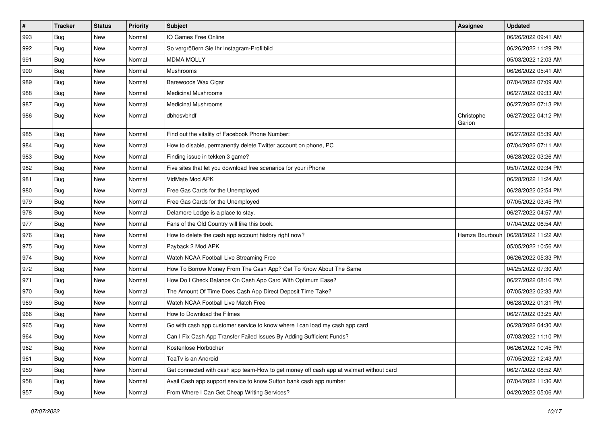| $\pmb{\#}$ | <b>Tracker</b> | <b>Status</b> | <b>Priority</b> | Subject                                                                                | <b>Assignee</b>      | <b>Updated</b>      |
|------------|----------------|---------------|-----------------|----------------------------------------------------------------------------------------|----------------------|---------------------|
| 993        | <b>Bug</b>     | New           | Normal          | IO Games Free Online                                                                   |                      | 06/26/2022 09:41 AM |
| 992        | Bug            | <b>New</b>    | Normal          | So vergrößern Sie Ihr Instagram-Profilbild                                             |                      | 06/26/2022 11:29 PM |
| 991        | Bug            | New           | Normal          | <b>MDMA MOLLY</b>                                                                      |                      | 05/03/2022 12:03 AM |
| 990        | Bug            | New           | Normal          | Mushrooms                                                                              |                      | 06/26/2022 05:41 AM |
| 989        | Bug            | <b>New</b>    | Normal          | Barewoods Wax Cigar                                                                    |                      | 07/04/2022 07:09 AM |
| 988        | Bug            | New           | Normal          | <b>Medicinal Mushrooms</b>                                                             |                      | 06/27/2022 09:33 AM |
| 987        | Bug            | New           | Normal          | <b>Medicinal Mushrooms</b>                                                             |                      | 06/27/2022 07:13 PM |
| 986        | Bug            | New           | Normal          | dbhdsvbhdf                                                                             | Christophe<br>Garion | 06/27/2022 04:12 PM |
| 985        | Bug            | <b>New</b>    | Normal          | Find out the vitality of Facebook Phone Number:                                        |                      | 06/27/2022 05:39 AM |
| 984        | <b>Bug</b>     | New           | Normal          | How to disable, permanently delete Twitter account on phone, PC                        |                      | 07/04/2022 07:11 AM |
| 983        | Bug            | New           | Normal          | Finding issue in tekken 3 game?                                                        |                      | 06/28/2022 03:26 AM |
| 982        | <b>Bug</b>     | New           | Normal          | Five sites that let you download free scenarios for your iPhone                        |                      | 05/07/2022 09:34 PM |
| 981        | <b>Bug</b>     | New           | Normal          | VidMate Mod APK                                                                        |                      | 06/28/2022 11:24 AM |
| 980        | <b>Bug</b>     | New           | Normal          | Free Gas Cards for the Unemployed                                                      |                      | 06/28/2022 02:54 PM |
| 979        | <b>Bug</b>     | New           | Normal          | Free Gas Cards for the Unemployed                                                      |                      | 07/05/2022 03:45 PM |
| 978        | <b>Bug</b>     | New           | Normal          | Delamore Lodge is a place to stay.                                                     |                      | 06/27/2022 04:57 AM |
| 977        | Bug            | New           | Normal          | Fans of the Old Country will like this book.                                           |                      | 07/04/2022 06:54 AM |
| 976        | <b>Bug</b>     | New           | Normal          | How to delete the cash app account history right now?                                  | Hamza Bourbouh       | 06/28/2022 11:22 AM |
| 975        | <b>Bug</b>     | New           | Normal          | Payback 2 Mod APK                                                                      |                      | 05/05/2022 10:56 AM |
| 974        | Bug            | New           | Normal          | Watch NCAA Football Live Streaming Free                                                |                      | 06/26/2022 05:33 PM |
| 972        | Bug            | New           | Normal          | How To Borrow Money From The Cash App? Get To Know About The Same                      |                      | 04/25/2022 07:30 AM |
| 971        | Bug            | New           | Normal          | How Do I Check Balance On Cash App Card With Optimum Ease?                             |                      | 06/27/2022 08:16 PM |
| 970        | <b>Bug</b>     | New           | Normal          | The Amount Of Time Does Cash App Direct Deposit Time Take?                             |                      | 07/05/2022 02:33 AM |
| 969        | <b>Bug</b>     | New           | Normal          | Watch NCAA Football Live Match Free                                                    |                      | 06/28/2022 01:31 PM |
| 966        | Bug            | New           | Normal          | How to Download the Filmes                                                             |                      | 06/27/2022 03:25 AM |
| 965        | Bug            | New           | Normal          | Go with cash app customer service to know where I can load my cash app card            |                      | 06/28/2022 04:30 AM |
| 964        | <b>Bug</b>     | New           | Normal          | Can I Fix Cash App Transfer Failed Issues By Adding Sufficient Funds?                  |                      | 07/03/2022 11:10 PM |
| 962        | Bug            | New           | Normal          | Kostenlose Hörbücher                                                                   |                      | 06/26/2022 10:45 PM |
| 961        | Bug            | New           | Normal          | TeaTv is an Android                                                                    |                      | 07/05/2022 12:43 AM |
| 959        | Bug            | New           | Normal          | Get connected with cash app team-How to get money off cash app at walmart without card |                      | 06/27/2022 08:52 AM |
| 958        | <b>Bug</b>     | New           | Normal          | Avail Cash app support service to know Sutton bank cash app number                     |                      | 07/04/2022 11:36 AM |
| 957        | <b>Bug</b>     | New           | Normal          | From Where I Can Get Cheap Writing Services?                                           |                      | 04/20/2022 05:06 AM |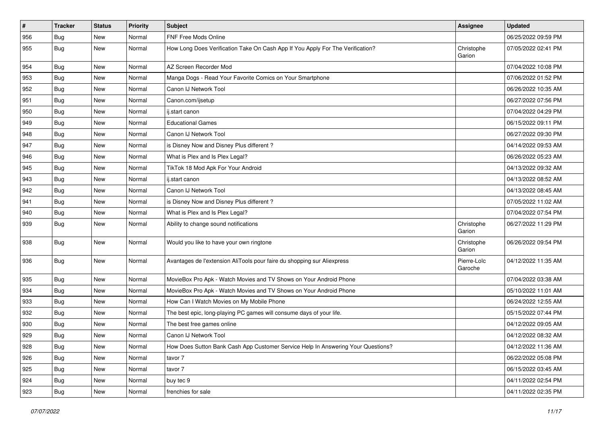| #   | <b>Tracker</b> | <b>Status</b> | <b>Priority</b> | Subject                                                                          | <b>Assignee</b>        | <b>Updated</b>      |
|-----|----------------|---------------|-----------------|----------------------------------------------------------------------------------|------------------------|---------------------|
| 956 | <b>Bug</b>     | New           | Normal          | FNF Free Mods Online                                                             |                        | 06/25/2022 09:59 PM |
| 955 | Bug            | New           | Normal          | How Long Does Verification Take On Cash App If You Apply For The Verification?   | Christophe<br>Garion   | 07/05/2022 02:41 PM |
| 954 | Bug            | <b>New</b>    | Normal          | AZ Screen Recorder Mod                                                           |                        | 07/04/2022 10:08 PM |
| 953 | Bug            | New           | Normal          | Manga Dogs - Read Your Favorite Comics on Your Smartphone                        |                        | 07/06/2022 01:52 PM |
| 952 | Bug            | New           | Normal          | Canon IJ Network Tool                                                            |                        | 06/26/2022 10:35 AM |
| 951 | <b>Bug</b>     | New           | Normal          | Canon.com/ijsetup                                                                |                        | 06/27/2022 07:56 PM |
| 950 | <b>Bug</b>     | New           | Normal          | ij.start canon                                                                   |                        | 07/04/2022 04:29 PM |
| 949 | <b>Bug</b>     | New           | Normal          | <b>Educational Games</b>                                                         |                        | 06/15/2022 09:11 PM |
| 948 | Bug            | <b>New</b>    | Normal          | Canon IJ Network Tool                                                            |                        | 06/27/2022 09:30 PM |
| 947 | Bug            | New           | Normal          | is Disney Now and Disney Plus different?                                         |                        | 04/14/2022 09:53 AM |
| 946 | <b>Bug</b>     | New           | Normal          | What is Plex and Is Plex Legal?                                                  |                        | 06/26/2022 05:23 AM |
| 945 | Bug            | <b>New</b>    | Normal          | TikTok 18 Mod Apk For Your Android                                               |                        | 04/13/2022 09:32 AM |
| 943 | <b>Bug</b>     | New           | Normal          | ij.start canon                                                                   |                        | 04/13/2022 08:52 AM |
| 942 | Bug            | New           | Normal          | Canon IJ Network Tool                                                            |                        | 04/13/2022 08:45 AM |
| 941 | Bug            | New           | Normal          | is Disney Now and Disney Plus different?                                         |                        | 07/05/2022 11:02 AM |
| 940 | Bug            | New           | Normal          | What is Plex and Is Plex Legal?                                                  |                        | 07/04/2022 07:54 PM |
| 939 | Bug            | New           | Normal          | Ability to change sound notifications                                            | Christophe<br>Garion   | 06/27/2022 11:29 PM |
| 938 | Bug            | New           | Normal          | Would you like to have your own ringtone                                         | Christophe<br>Garion   | 06/26/2022 09:54 PM |
| 936 | Bug            | <b>New</b>    | Normal          | Avantages de l'extension AliTools pour faire du shopping sur Aliexpress          | Pierre-Loïc<br>Garoche | 04/12/2022 11:35 AM |
| 935 | Bug            | <b>New</b>    | Normal          | MovieBox Pro Apk - Watch Movies and TV Shows on Your Android Phone               |                        | 07/04/2022 03:38 AM |
| 934 | <b>Bug</b>     | New           | Normal          | MovieBox Pro Apk - Watch Movies and TV Shows on Your Android Phone               |                        | 05/10/2022 11:01 AM |
| 933 | Bug            | New           | Normal          | How Can I Watch Movies on My Mobile Phone                                        |                        | 06/24/2022 12:55 AM |
| 932 | <b>Bug</b>     | New           | Normal          | The best epic, long-playing PC games will consume days of your life.             |                        | 05/15/2022 07:44 PM |
| 930 | Bug            | New           | Normal          | The best free games online                                                       |                        | 04/12/2022 09:05 AM |
| 929 | <b>Bug</b>     | New           | Normal          | Canon IJ Network Tool                                                            |                        | 04/12/2022 08:32 AM |
| 928 | Bug            | New           | Normal          | How Does Sutton Bank Cash App Customer Service Help In Answering Your Questions? |                        | 04/12/2022 11:36 AM |
| 926 | Bug            | New           | Normal          | tavor 7                                                                          |                        | 06/22/2022 05:08 PM |
| 925 | Bug            | New           | Normal          | tavor 7                                                                          |                        | 06/15/2022 03:45 AM |
| 924 | Bug            | New           | Normal          | buy tec 9                                                                        |                        | 04/11/2022 02:54 PM |
| 923 | <b>Bug</b>     | New           | Normal          | frenchies for sale                                                               |                        | 04/11/2022 02:35 PM |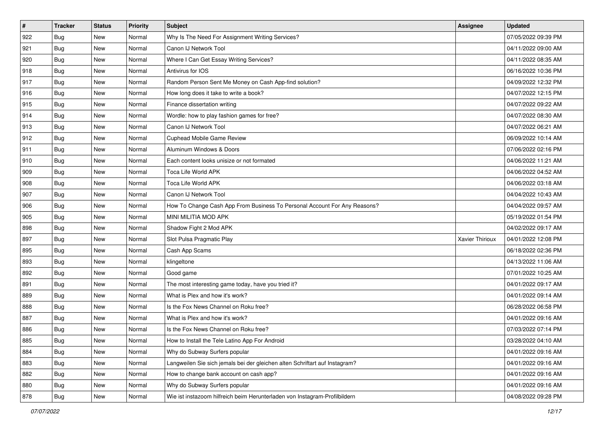| $\vert$ # | <b>Tracker</b> | <b>Status</b> | <b>Priority</b> | Subject                                                                     | <b>Assignee</b> | <b>Updated</b>      |
|-----------|----------------|---------------|-----------------|-----------------------------------------------------------------------------|-----------------|---------------------|
| 922       | <b>Bug</b>     | New           | Normal          | Why Is The Need For Assignment Writing Services?                            |                 | 07/05/2022 09:39 PM |
| 921       | <b>Bug</b>     | New           | Normal          | Canon IJ Network Tool                                                       |                 | 04/11/2022 09:00 AM |
| 920       | Bug            | New           | Normal          | Where I Can Get Essay Writing Services?                                     |                 | 04/11/2022 08:35 AM |
| 918       | <b>Bug</b>     | New           | Normal          | Antivirus for IOS                                                           |                 | 06/16/2022 10:36 PM |
| 917       | Bug            | <b>New</b>    | Normal          | Random Person Sent Me Money on Cash App-find solution?                      |                 | 04/09/2022 12:32 PM |
| 916       | <b>Bug</b>     | New           | Normal          | How long does it take to write a book?                                      |                 | 04/07/2022 12:15 PM |
| 915       | Bug            | New           | Normal          | Finance dissertation writing                                                |                 | 04/07/2022 09:22 AM |
| 914       | <b>Bug</b>     | New           | Normal          | Wordle: how to play fashion games for free?                                 |                 | 04/07/2022 08:30 AM |
| 913       | <b>Bug</b>     | New           | Normal          | Canon IJ Network Tool                                                       |                 | 04/07/2022 06:21 AM |
| 912       | Bug            | New           | Normal          | Cuphead Mobile Game Review                                                  |                 | 06/09/2022 10:14 AM |
| 911       | <b>Bug</b>     | New           | Normal          | Aluminum Windows & Doors                                                    |                 | 07/06/2022 02:16 PM |
| 910       | Bug            | New           | Normal          | Each content looks unisize or not formated                                  |                 | 04/06/2022 11:21 AM |
| 909       | Bug            | New           | Normal          | Toca Life World APK                                                         |                 | 04/06/2022 04:52 AM |
| 908       | Bug            | New           | Normal          | Toca Life World APK                                                         |                 | 04/06/2022 03:18 AM |
| 907       | Bug            | New           | Normal          | Canon IJ Network Tool                                                       |                 | 04/04/2022 10:43 AM |
| 906       | Bug            | New           | Normal          | How To Change Cash App From Business To Personal Account For Any Reasons?   |                 | 04/04/2022 09:57 AM |
| 905       | <b>Bug</b>     | New           | Normal          | MINI MILITIA MOD APK                                                        |                 | 05/19/2022 01:54 PM |
| 898       | Bug            | <b>New</b>    | Normal          | Shadow Fight 2 Mod APK                                                      |                 | 04/02/2022 09:17 AM |
| 897       | <b>Bug</b>     | New           | Normal          | Slot Pulsa Pragmatic Play                                                   | Xavier Thirioux | 04/01/2022 12:08 PM |
| 895       | <b>Bug</b>     | New           | Normal          | Cash App Scams                                                              |                 | 06/18/2022 02:36 PM |
| 893       | <b>Bug</b>     | New           | Normal          | klingeltone                                                                 |                 | 04/13/2022 11:06 AM |
| 892       | <b>Bug</b>     | New           | Normal          | Good game                                                                   |                 | 07/01/2022 10:25 AM |
| 891       | Bug            | New           | Normal          | The most interesting game today, have you tried it?                         |                 | 04/01/2022 09:17 AM |
| 889       | <b>Bug</b>     | New           | Normal          | What is Plex and how it's work?                                             |                 | 04/01/2022 09:14 AM |
| 888       | <b>Bug</b>     | New           | Normal          | Is the Fox News Channel on Roku free?                                       |                 | 06/28/2022 06:58 PM |
| 887       | Bug            | New           | Normal          | What is Plex and how it's work?                                             |                 | 04/01/2022 09:16 AM |
| 886       | <b>Bug</b>     | New           | Normal          | Is the Fox News Channel on Roku free?                                       |                 | 07/03/2022 07:14 PM |
| 885       | Bug            | New           | Normal          | How to Install the Tele Latino App For Android                              |                 | 03/28/2022 04:10 AM |
| 884       | <b>Bug</b>     | New           | Normal          | Why do Subway Surfers popular                                               |                 | 04/01/2022 09:16 AM |
| 883       | Bug            | New           | Normal          | Langweilen Sie sich jemals bei der gleichen alten Schriftart auf Instagram? |                 | 04/01/2022 09:16 AM |
| 882       | <b>Bug</b>     | New           | Normal          | How to change bank account on cash app?                                     |                 | 04/01/2022 09:16 AM |
| 880       | <b>Bug</b>     | New           | Normal          | Why do Subway Surfers popular                                               |                 | 04/01/2022 09:16 AM |
| 878       | <b>Bug</b>     | New           | Normal          | Wie ist instazoom hilfreich beim Herunterladen von Instagram-Profilbildern  |                 | 04/08/2022 09:28 PM |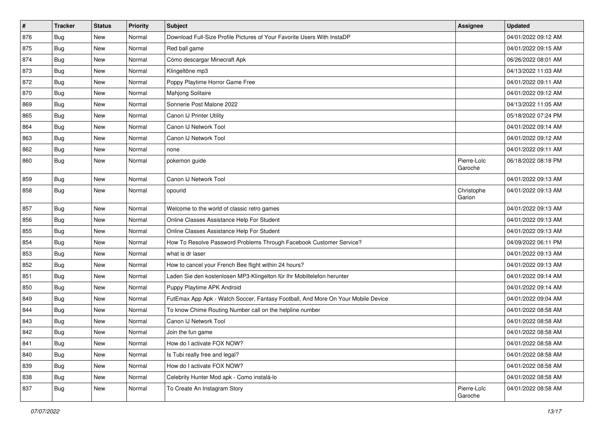| $\vert$ # | <b>Tracker</b> | <b>Status</b> | <b>Priority</b> | <b>Subject</b>                                                                   | <b>Assignee</b>        | <b>Updated</b>      |
|-----------|----------------|---------------|-----------------|----------------------------------------------------------------------------------|------------------------|---------------------|
| 876       | <b>Bug</b>     | New           | Normal          | Download Full-Size Profile Pictures of Your Favorite Users With InstaDP          |                        | 04/01/2022 09:12 AM |
| 875       | Bug            | <b>New</b>    | Normal          | Red ball game                                                                    |                        | 04/01/2022 09:15 AM |
| 874       | Bug            | New           | Normal          | Cómo descargar Minecraft Apk                                                     |                        | 06/26/2022 08:01 AM |
| 873       | <b>Bug</b>     | <b>New</b>    | Normal          | Klingeltöne mp3                                                                  |                        | 04/13/2022 11:03 AM |
| 872       | <b>Bug</b>     | <b>New</b>    | Normal          | Poppy Playtime Horror Game Free                                                  |                        | 04/01/2022 09:11 AM |
| 870       | Bug            | <b>New</b>    | Normal          | Mahjong Solitaire                                                                |                        | 04/01/2022 09:12 AM |
| 869       | Bug            | <b>New</b>    | Normal          | Sonnerie Post Malone 2022                                                        |                        | 04/13/2022 11:05 AM |
| 865       | <b>Bug</b>     | New           | Normal          | Canon IJ Printer Utility                                                         |                        | 05/18/2022 07:24 PM |
| 864       | <b>Bug</b>     | <b>New</b>    | Normal          | Canon IJ Network Tool                                                            |                        | 04/01/2022 09:14 AM |
| 863       | <b>Bug</b>     | <b>New</b>    | Normal          | Canon IJ Network Tool                                                            |                        | 04/01/2022 09:12 AM |
| 862       | <b>Bug</b>     | New           | Normal          | none                                                                             |                        | 04/01/2022 09:11 AM |
| 860       | Bug            | <b>New</b>    | Normal          | pokemon guide                                                                    | Pierre-Loïc<br>Garoche | 06/18/2022 08:18 PM |
| 859       | Bug            | <b>New</b>    | Normal          | Canon IJ Network Tool                                                            |                        | 04/01/2022 09:13 AM |
| 858       | Bug            | <b>New</b>    | Normal          | opourid                                                                          | Christophe<br>Garion   | 04/01/2022 09:13 AM |
| 857       | Bug            | <b>New</b>    | Normal          | Welcome to the world of classic retro games                                      |                        | 04/01/2022 09:13 AM |
| 856       | <b>Bug</b>     | <b>New</b>    | Normal          | Online Classes Assistance Help For Student                                       |                        | 04/01/2022 09:13 AM |
| 855       | <b>Bug</b>     | New           | Normal          | Online Classes Assistance Help For Student                                       |                        | 04/01/2022 09:13 AM |
| 854       | Bug            | <b>New</b>    | Normal          | How To Resolve Password Problems Through Facebook Customer Service?              |                        | 04/09/2022 06:11 PM |
| 853       | <b>Bug</b>     | New           | Normal          | what is dr laser                                                                 |                        | 04/01/2022 09:13 AM |
| 852       | <b>Bug</b>     | New           | Normal          | How to cancel your French Bee flight within 24 hours?                            |                        | 04/01/2022 09:13 AM |
| 851       | <b>Bug</b>     | <b>New</b>    | Normal          | Laden Sie den kostenlosen MP3-Klingelton für Ihr Mobiltelefon herunter           |                        | 04/01/2022 09:14 AM |
| 850       | Bug            | New           | Normal          | Puppy Playtime APK Android                                                       |                        | 04/01/2022 09:14 AM |
| 849       | <b>Bug</b>     | <b>New</b>    | Normal          | FutEmax App Apk - Watch Soccer, Fantasy Football, And More On Your Mobile Device |                        | 04/01/2022 09:04 AM |
| 844       | Bug            | <b>New</b>    | Normal          | To know Chime Routing Number call on the helpline number                         |                        | 04/01/2022 08:58 AM |
| 843       | Bug            | New           | Normal          | Canon IJ Network Tool                                                            |                        | 04/01/2022 08:58 AM |
| 842       | Bug            | <b>New</b>    | Normal          | Join the fun game                                                                |                        | 04/01/2022 08:58 AM |
| 841       | Bug            | New           | Normal          | How do I activate FOX NOW?                                                       |                        | 04/01/2022 08:58 AM |
| 840       | <b>Bug</b>     | New           | Normal          | Is Tubi really free and legal?                                                   |                        | 04/01/2022 08:58 AM |
| 839       | <b>Bug</b>     | New           | Normal          | How do I activate FOX NOW?                                                       |                        | 04/01/2022 08:58 AM |
| 838       | <b>Bug</b>     | New           | Normal          | Celebrity Hunter Mod apk - Como instalá-lo                                       |                        | 04/01/2022 08:58 AM |
| 837       | Bug            | New           | Normal          | To Create An Instagram Story                                                     | Pierre-Loïc<br>Garoche | 04/01/2022 08:58 AM |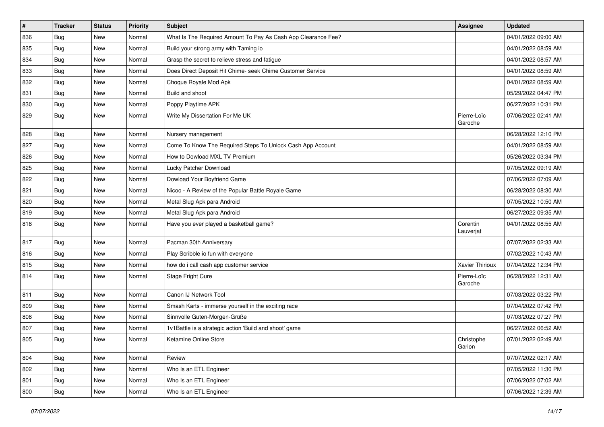| $\vert$ # | <b>Tracker</b> | <b>Status</b> | <b>Priority</b> | <b>Subject</b>                                                | <b>Assignee</b>        | <b>Updated</b>      |
|-----------|----------------|---------------|-----------------|---------------------------------------------------------------|------------------------|---------------------|
| 836       | <b>Bug</b>     | New           | Normal          | What Is The Required Amount To Pay As Cash App Clearance Fee? |                        | 04/01/2022 09:00 AM |
| 835       | Bug            | <b>New</b>    | Normal          | Build your strong army with Taming io                         |                        | 04/01/2022 08:59 AM |
| 834       | Bug            | New           | Normal          | Grasp the secret to relieve stress and fatigue                |                        | 04/01/2022 08:57 AM |
| 833       | <b>Bug</b>     | <b>New</b>    | Normal          | Does Direct Deposit Hit Chime- seek Chime Customer Service    |                        | 04/01/2022 08:59 AM |
| 832       | <b>Bug</b>     | <b>New</b>    | Normal          | Choque Royale Mod Apk                                         |                        | 04/01/2022 08:59 AM |
| 831       | Bug            | <b>New</b>    | Normal          | Build and shoot                                               |                        | 05/29/2022 04:47 PM |
| 830       | Bug            | New           | Normal          | Poppy Playtime APK                                            |                        | 06/27/2022 10:31 PM |
| 829       | Bug            | New           | Normal          | Write My Dissertation For Me UK                               | Pierre-Loïc<br>Garoche | 07/06/2022 02:41 AM |
| 828       | Bug            | <b>New</b>    | Normal          | Nursery management                                            |                        | 06/28/2022 12:10 PM |
| 827       | Bug            | New           | Normal          | Come To Know The Required Steps To Unlock Cash App Account    |                        | 04/01/2022 08:59 AM |
| 826       | Bug            | <b>New</b>    | Normal          | How to Dowload MXL TV Premium                                 |                        | 05/26/2022 03:34 PM |
| 825       | Bug            | <b>New</b>    | Normal          | Lucky Patcher Download                                        |                        | 07/05/2022 09:19 AM |
| 822       | <b>Bug</b>     | New           | Normal          | Dowload Your Boyfriend Game                                   |                        | 07/06/2022 07:09 AM |
| 821       | Bug            | <b>New</b>    | Normal          | Nicoo - A Review of the Popular Battle Royale Game            |                        | 06/28/2022 08:30 AM |
| 820       | Bug            | New           | Normal          | Metal Slug Apk para Android                                   |                        | 07/05/2022 10:50 AM |
| 819       | <b>Bug</b>     | <b>New</b>    | Normal          | Metal Slug Apk para Android                                   |                        | 06/27/2022 09:35 AM |
| 818       | Bug            | <b>New</b>    | Normal          | Have you ever played a basketball game?                       | Corentin<br>Lauverjat  | 04/01/2022 08:55 AM |
| 817       | Bug            | <b>New</b>    | Normal          | Pacman 30th Anniversary                                       |                        | 07/07/2022 02:33 AM |
| 816       | Bug            | <b>New</b>    | Normal          | Play Scribble io fun with everyone                            |                        | 07/02/2022 10:43 AM |
| 815       | <b>Bug</b>     | <b>New</b>    | Normal          | how do i call cash app customer service                       | Xavier Thirioux        | 07/04/2022 12:34 PM |
| 814       | <b>Bug</b>     | <b>New</b>    | Normal          | Stage Fright Cure                                             | Pierre-Loïc<br>Garoche | 06/28/2022 12:31 AM |
| 811       | Bug            | <b>New</b>    | Normal          | Canon IJ Network Tool                                         |                        | 07/03/2022 03:22 PM |
| 809       | Bug            | <b>New</b>    | Normal          | Smash Karts - immerse yourself in the exciting race           |                        | 07/04/2022 07:42 PM |
| 808       | <b>Bug</b>     | New           | Normal          | Sinnvolle Guten-Morgen-Grüße                                  |                        | 07/03/2022 07:27 PM |
| 807       | <b>Bug</b>     | New           | Normal          | 1v1Battle is a strategic action 'Build and shoot' game        |                        | 06/27/2022 06:52 AM |
| 805       | Bug            | New           | Normal          | Ketamine Online Store                                         | Christophe<br>Garion   | 07/01/2022 02:49 AM |
| 804       | Bug            | New           | Normal          | Review                                                        |                        | 07/07/2022 02:17 AM |
| 802       | Bug            | New           | Normal          | Who Is an ETL Engineer                                        |                        | 07/05/2022 11:30 PM |
| 801       | <b>Bug</b>     | New           | Normal          | Who Is an ETL Engineer                                        |                        | 07/06/2022 07:02 AM |
| 800       | <b>Bug</b>     | New           | Normal          | Who Is an ETL Engineer                                        |                        | 07/06/2022 12:39 AM |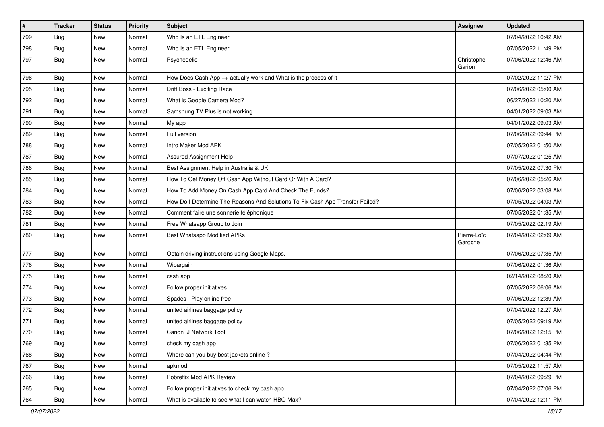| $\vert$ # | <b>Tracker</b> | <b>Status</b> | <b>Priority</b> | Subject                                                                       | <b>Assignee</b>        | <b>Updated</b>      |
|-----------|----------------|---------------|-----------------|-------------------------------------------------------------------------------|------------------------|---------------------|
| 799       | <b>Bug</b>     | New           | Normal          | Who Is an ETL Engineer                                                        |                        | 07/04/2022 10:42 AM |
| 798       | Bug            | <b>New</b>    | Normal          | Who Is an ETL Engineer                                                        |                        | 07/05/2022 11:49 PM |
| 797       | Bug            | <b>New</b>    | Normal          | Psychedelic                                                                   | Christophe<br>Garion   | 07/06/2022 12:46 AM |
| 796       | Bug            | <b>New</b>    | Normal          | How Does Cash App ++ actually work and What is the process of it              |                        | 07/02/2022 11:27 PM |
| 795       | Bug            | New           | Normal          | Drift Boss - Exciting Race                                                    |                        | 07/06/2022 05:00 AM |
| 792       | <b>Bug</b>     | <b>New</b>    | Normal          | What is Google Camera Mod?                                                    |                        | 06/27/2022 10:20 AM |
| 791       | Bug            | New           | Normal          | Samsnung TV Plus is not working                                               |                        | 04/01/2022 09:03 AM |
| 790       | Bug            | New           | Normal          | My app                                                                        |                        | 04/01/2022 09:03 AM |
| 789       | Bug            | <b>New</b>    | Normal          | Full version                                                                  |                        | 07/06/2022 09:44 PM |
| 788       | Bug            | New           | Normal          | Intro Maker Mod APK                                                           |                        | 07/05/2022 01:50 AM |
| 787       | Bug            | <b>New</b>    | Normal          | Assured Assignment Help                                                       |                        | 07/07/2022 01:25 AM |
| 786       | Bug            | <b>New</b>    | Normal          | Best Assignment Help in Australia & UK                                        |                        | 07/05/2022 07:30 PM |
| 785       | Bug            | New           | Normal          | How To Get Money Off Cash App Without Card Or With A Card?                    |                        | 07/06/2022 05:26 AM |
| 784       | Bug            | <b>New</b>    | Normal          | How To Add Money On Cash App Card And Check The Funds?                        |                        | 07/06/2022 03:08 AM |
| 783       | Bug            | New           | Normal          | How Do I Determine The Reasons And Solutions To Fix Cash App Transfer Failed? |                        | 07/05/2022 04:03 AM |
| 782       | <b>Bug</b>     | New           | Normal          | Comment faire une sonnerie téléphonique                                       |                        | 07/05/2022 01:35 AM |
| 781       | Bug            | <b>New</b>    | Normal          | Free Whatsapp Group to Join                                                   |                        | 07/05/2022 02:19 AM |
| 780       | Bug            | <b>New</b>    | Normal          | Best Whatsapp Modified APKs                                                   | Pierre-Loïc<br>Garoche | 07/04/2022 02:09 AM |
| 777       | <b>Bug</b>     | New           | Normal          | Obtain driving instructions using Google Maps.                                |                        | 07/06/2022 07:35 AM |
| 776       | Bug            | New           | Normal          | Wibargain                                                                     |                        | 07/06/2022 01:36 AM |
| 775       | Bug            | <b>New</b>    | Normal          | cash app                                                                      |                        | 02/14/2022 08:20 AM |
| 774       | <b>Bug</b>     | New           | Normal          | Follow proper initiatives                                                     |                        | 07/05/2022 06:06 AM |
| 773       | Bug            | <b>New</b>    | Normal          | Spades - Play online free                                                     |                        | 07/06/2022 12:39 AM |
| 772       | Bug            | <b>New</b>    | Normal          | united airlines baggage policy                                                |                        | 07/04/2022 12:27 AM |
| 771       | Bug            | New           | Normal          | united airlines baggage policy                                                |                        | 07/05/2022 09:19 AM |
| 770       | <b>Bug</b>     | <b>New</b>    | Normal          | Canon IJ Network Tool                                                         |                        | 07/06/2022 12:15 PM |
| 769       | Bug            | New           | Normal          | check my cash app                                                             |                        | 07/06/2022 01:35 PM |
| 768       | Bug            | New           | Normal          | Where can you buy best jackets online?                                        |                        | 07/04/2022 04:44 PM |
| 767       | <b>Bug</b>     | <b>New</b>    | Normal          | apkmod                                                                        |                        | 07/05/2022 11:57 AM |
| 766       | <b>Bug</b>     | New           | Normal          | Pobreflix Mod APK Review                                                      |                        | 07/04/2022 09:29 PM |
| 765       | Bug            | New           | Normal          | Follow proper initiatives to check my cash app                                |                        | 07/04/2022 07:06 PM |
| 764       | Bug            | New           | Normal          | What is available to see what I can watch HBO Max?                            |                        | 07/04/2022 12:11 PM |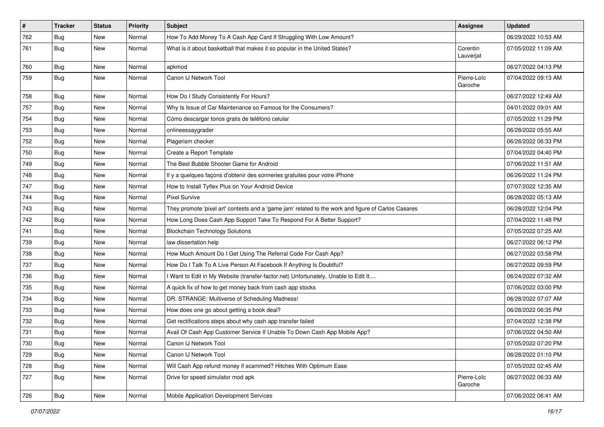| $\pmb{\#}$ | <b>Tracker</b> | <b>Status</b> | Priority | Subject                                                                                             | <b>Assignee</b>        | <b>Updated</b>      |
|------------|----------------|---------------|----------|-----------------------------------------------------------------------------------------------------|------------------------|---------------------|
| 762        | <b>Bug</b>     | New           | Normal   | How To Add Money To A Cash App Card If Struggling With Low Amount?                                  |                        | 06/29/2022 10:53 AM |
| 761        | Bug            | New           | Normal   | What is it about basketball that makes it so popular in the United States?                          | Corentin<br>Lauverjat  | 07/05/2022 11:09 AM |
| 760        | Bug            | New           | Normal   | apkmod                                                                                              |                        | 06/27/2022 04:13 PM |
| 759        | Bug            | New           | Normal   | Canon IJ Network Tool                                                                               | Pierre-Loïc<br>Garoche | 07/04/2022 09:13 AM |
| 758        | Bug            | New           | Normal   | How Do I Study Consistently For Hours?                                                              |                        | 06/27/2022 12:49 AM |
| 757        | <b>Bug</b>     | New           | Normal   | Why Is Issue of Car Maintenance so Famous for the Consumers?                                        |                        | 04/01/2022 09:01 AM |
| 754        | Bug            | New           | Normal   | Cómo descargar tonos gratis de teléfono celular                                                     |                        | 07/05/2022 11:29 PM |
| 753        | Bug            | New           | Normal   | onlineessaygrader                                                                                   |                        | 06/28/2022 05:55 AM |
| 752        | Bug            | New           | Normal   | Plagerism checker                                                                                   |                        | 06/26/2022 06:33 PM |
| 750        | Bug            | New           | Normal   | Create a Report Template                                                                            |                        | 07/04/2022 04:40 PM |
| 749        | Bug            | New           | Normal   | The Best Bubble Shooter Game for Android                                                            |                        | 07/06/2022 11:51 AM |
| 748        | <b>Bug</b>     | New           | Normal   | Il y a quelques façons d'obtenir des sonneries gratuites pour votre iPhone                          |                        | 06/26/2022 11:24 PM |
| 747        | Bug            | New           | Normal   | How to Install Tyflex Plus on Your Android Device                                                   |                        | 07/07/2022 12:35 AM |
| 744        | Bug            | New           | Normal   | <b>Pixel Survive</b>                                                                                |                        | 06/28/2022 05:13 AM |
| 743        | Bug            | New           | Normal   | They promote 'pixel art' contests and a 'game jam' related to the work and figure of Carlos Casares |                        | 06/28/2022 12:04 PM |
| 742        | Bug            | New           | Normal   | How Long Does Cash App Support Take To Respond For A Better Support?                                |                        | 07/04/2022 11:48 PM |
| 741        | <b>Bug</b>     | New           | Normal   | <b>Blockchain Technology Solutions</b>                                                              |                        | 07/05/2022 07:25 AM |
| 739        | Bug            | New           | Normal   | law dissertation help                                                                               |                        | 06/27/2022 06:12 PM |
| 738        | <b>Bug</b>     | New           | Normal   | How Much Amount Do I Get Using The Referral Code For Cash App?                                      |                        | 06/27/2022 03:58 PM |
| 737        | Bug            | New           | Normal   | How Do I Talk To A Live Person At Facebook If Anything Is Doubtful?                                 |                        | 06/27/2022 09:59 PM |
| 736        | Bug            | New           | Normal   | I Want to Edit in My Website (transfer-factor.net) Unfortunately, Unable to Edit It                 |                        | 06/24/2022 07:32 AM |
| 735        | <b>Bug</b>     | New           | Normal   | A quick fix of how to get money back from cash app stocks                                           |                        | 07/06/2022 03:00 PM |
| 734        | Bug            | New           | Normal   | DR. STRANGE: Multiverse of Scheduling Madness!                                                      |                        | 06/28/2022 07:07 AM |
| 733        | <b>Bug</b>     | New           | Normal   | How does one go about getting a book deal?                                                          |                        | 06/28/2022 06:35 PM |
| 732        | <b>Bug</b>     | New           | Normal   | Get rectifications steps about why cash app transfer failed                                         |                        | 07/04/2022 12:38 PM |
| 731        | <b>Bug</b>     | New           | Normal   | Avail Of Cash App Customer Service If Unable To Down Cash App Mobile App?                           |                        | 07/06/2022 04:50 AM |
| 730        | Bug            | New           | Normal   | Canon IJ Network Tool                                                                               |                        | 07/05/2022 07:20 PM |
| 729        | Bug            | New           | Normal   | Canon IJ Network Tool                                                                               |                        | 06/28/2022 01:10 PM |
| 728        | Bug            | New           | Normal   | Will Cash App refund money if scammed? Hitches With Optimum Ease                                    |                        | 07/05/2022 02:45 AM |
| 727        | <b>Bug</b>     | New           | Normal   | Drive for speed simulator mod apk                                                                   | Pierre-Loïc<br>Garoche | 06/27/2022 06:33 AM |
| 726        | Bug            | New           | Normal   | Mobile Application Development Services                                                             |                        | 07/06/2022 06:41 AM |